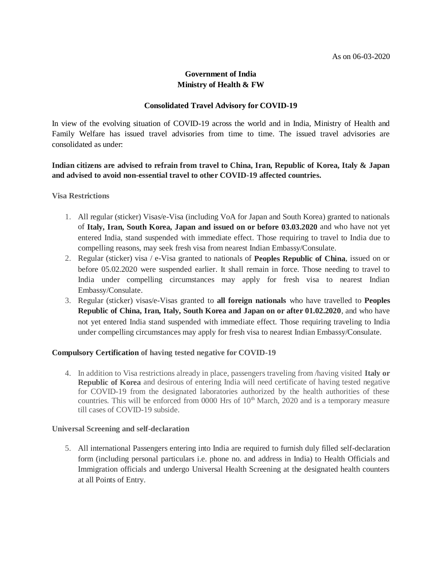# **Government of India Ministry of Health & FW**

## **Consolidated Travel Advisory for COVID-19**

In view of the evolving situation of COVID-19 across the world and in India, Ministry of Health and Family Welfare has issued travel advisories from time to time. The issued travel advisories are consolidated as under:

**Indian citizens are advised to refrain from travel to China, Iran, Republic of Korea, Italy & Japan and advised to avoid non-essential travel to other COVID-19 affected countries.**

**Visa Restrictions**

- 1. All regular (sticker) Visas/e-Visa (including VoA for Japan and South Korea) granted to nationals of **Italy, Iran, South Korea, Japan and issued on or before 03.03.2020** and who have not yet entered India, stand suspended with immediate effect. Those requiring to travel to India due to compelling reasons, may seek fresh visa from nearest Indian Embassy/Consulate.
- 2. Regular (sticker) visa / e-Visa granted to nationals of **Peoples Republic of China**, issued on or before 05.02.2020 were suspended earlier. It shall remain in force. Those needing to travel to India under compelling circumstances may apply for fresh visa to nearest Indian Embassy/Consulate.
- 3. Regular (sticker) visas/e-Visas granted to **all foreign nationals** who have travelled to **Peoples Republic of China, Iran, Italy, South Korea and Japan on or after 01.02.2020**, and who have not yet entered India stand suspended with immediate effect. Those requiring traveling to India under compelling circumstances may apply for fresh visa to nearest Indian Embassy/Consulate.

#### **Compulsory Certification of having tested negative for COVID-19**

4. In addition to Visa restrictions already in place, passengers traveling from /having visited **Italy or Republic of Korea** and desirous of entering India will need certificate of having tested negative for COVID-19 from the designated laboratories authorized by the health authorities of these countries. This will be enforced from 0000 Hrs of  $10<sup>th</sup>$  March, 2020 and is a temporary measure till cases of COVID-19 subside.

#### **Universal Screening and self-declaration**

5. All international Passengers entering into India are required to furnish duly filled self-declaration form (including personal particulars i.e. phone no. and address in India) to Health Officials and Immigration officials and undergo Universal Health Screening at the designated health counters at all Points of Entry.